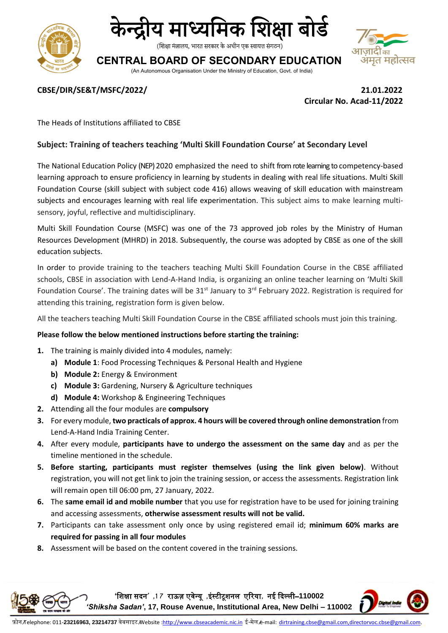



(शिक्षा मंत्रालय, भारत सरकार के अधीन एक स्वायत्त संगठन)

# **CENTRAL BOARD OF SECONDARY EDUCATION**

(An Autonomous Organisation Under the Ministry of Education, Govt. of India)



### **CBSE/DIR/SE&T/MSFC/2022/ 21.01.2022**

**Circular No. Acad-11/2022**

The Heads of Institutions affiliated to CBSE

## **Subject: Training of teachers teaching 'Multi Skill Foundation Course' at Secondary Level**

The National Education Policy (NEP) 2020 emphasized the need to shift from rote learning to competency-based learning approach to ensure proficiency in learning by students in dealing with real life situations. Multi Skill Foundation Course (skill subject with subject code 416) allows weaving of skill education with mainstream subjects and encourages learning with real life experimentation. This subject aims to make learning multisensory, joyful, reflective and multidisciplinary.

Multi Skill Foundation Course (MSFC) was one of the 73 approved job roles by the Ministry of Human Resources Development (MHRD) in 2018. Subsequently, the course was adopted by CBSE as one of the skill education subjects.

In order to provide training to the teachers teaching Multi Skill Foundation Course in the CBSE affiliated schools, CBSE in association with Lend-A-Hand India, is organizing an online teacher learning on 'Multi Skill Foundation Course'. The training dates will be 31<sup>st</sup> January to 3<sup>rd</sup> February 2022. Registration is required for attending this training, registration form is given below.

All the teachers teaching Multi Skill Foundation Course in the CBSE affiliated schools must join this training.

### **Please follow the below mentioned instructions before starting the training:**

- **1.** The training is mainly divided into 4 modules, namely:
	- **a) Module 1**: Food Processing Techniques & Personal Health and Hygiene
	- **b) Module 2:** Energy & Environment
	- **c) Module 3:** Gardening, Nursery & Agriculture techniques
	- **d) Module 4:** Workshop & Engineering Techniques
- **2.** Attending all the four modules are **compulsory**
- **3.** For every module, **two practicals of approx. 4 hours will be covered through online demonstration** from Lend-A-Hand India Training Center.
- **4.** After every module, **participants have to undergo the assessment on the same day** and as per the timeline mentioned in the schedule.
- **5. Before starting, participants must register themselves (using the link given below)**. Without registration, you will not get link to join the training session, or access the assessments. Registration link will remain open till 06:00 pm, 27 January, 2022.
- **6.** The **same email id and mobile number** that you use for registration have to be used for joining training and accessing assessments, **otherwise assessment results will not be valid.**
- **7.** Participants can take assessment only once by using registered email id; **minimum 60% marks are required for passing in all four modules**
- **8.** Assessment will be based on the content covered in the training sessions.

**'**शिक्षा सदन**' ,1 7** राऊज़ एवेन्यू **,**इंस्टीटूिनल एररया**,** नई ददल्ली–**110002**  *'Shiksha Sadan'***, 17, Rouse Avenue, Institutional Area, New Delhi – 110002**

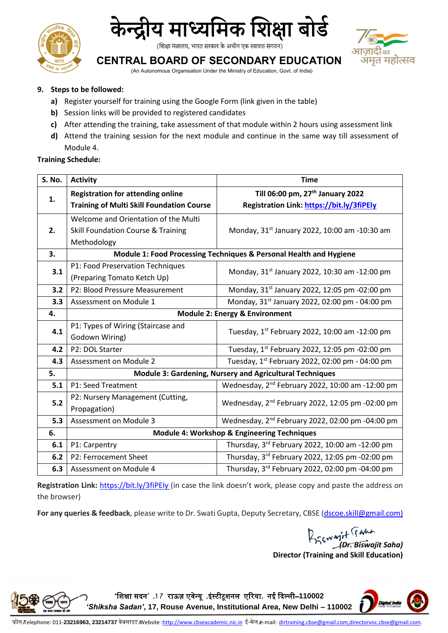



(शिक्षा मंत्रालय, भारत सरकार के अधीन एक स्वायत्त संगठन)



# **CENTRAL BOARD OF SECONDARY EDUCATION**

(An Autonomous Organisation Under the Ministry of Education, Govt. of India)

### **9. Steps to be followed:**

- **a)** Register yourself for training using the Google Form (link given in the table)
- **b)** Session links will be provided to registered candidates
- **c)** After attending the training, take assessment of that module within 2 hours using assessment link
- **d)** Attend the training session for the next module and continue in the same way till assessment of Module 4.

### **Training Schedule:**

| S. No. | <b>Activity</b>                                                    | <b>Time</b>                                                  |
|--------|--------------------------------------------------------------------|--------------------------------------------------------------|
| 1.     | <b>Registration for attending online</b>                           | Till 06:00 pm, 27 <sup>th</sup> January 2022                 |
|        | <b>Training of Multi Skill Foundation Course</b>                   | Registration Link: https://bit.ly/3fiPEly                    |
| 2.     | Welcome and Orientation of the Multi                               | Monday, 31 <sup>st</sup> January 2022, 10:00 am -10:30 am    |
|        | <b>Skill Foundation Course &amp; Training</b>                      |                                                              |
|        | Methodology                                                        |                                                              |
| 3.     | Module 1: Food Processing Techniques & Personal Health and Hygiene |                                                              |
| 3.1    | P1: Food Preservation Techniques                                   | Monday, 31 <sup>st</sup> January 2022, 10:30 am -12:00 pm    |
|        | (Preparing Tomato Ketch Up)                                        |                                                              |
| 3.2    | P2: Blood Pressure Measurement                                     | Monday, 31 <sup>st</sup> January 2022, 12:05 pm -02:00 pm    |
| 3.3    | Assessment on Module 1                                             | Monday, 31 <sup>st</sup> January 2022, 02:00 pm - 04:00 pm   |
| 4.     | <b>Module 2: Energy &amp; Environment</b>                          |                                                              |
| 4.1    | P1: Types of Wiring (Staircase and                                 | Tuesday, 1st February 2022, 10:00 am -12:00 pm               |
|        | Godown Wiring)                                                     |                                                              |
| 4.2    | P2: DOL Starter                                                    | Tuesday, 1st February 2022, 12:05 pm -02:00 pm               |
| 4.3    | Assessment on Module 2                                             | Tuesday, 1st February 2022, 02:00 pm - 04:00 pm              |
| 5.     | Module 3: Gardening, Nursery and Agricultural Techniques           |                                                              |
| 5.1    | P1: Seed Treatment                                                 | Wednesday, 2 <sup>nd</sup> February 2022, 10:00 am -12:00 pm |
| 5.2    | P2: Nursery Management (Cutting,                                   | Wednesday, 2 <sup>nd</sup> February 2022, 12:05 pm -02:00 pm |
|        | Propagation)                                                       |                                                              |
| 5.3    | Assessment on Module 3                                             | Wednesday, 2 <sup>nd</sup> February 2022, 02:00 pm -04:00 pm |
| 6.     | Module 4: Workshop & Engineering Techniques                        |                                                              |
| 6.1    | P1: Carpentry                                                      | Thursday, 3rd February 2022, 10:00 am -12:00 pm              |
| 6.2    | P2: Ferrocement Sheet                                              | Thursday, 3rd February 2022, 12:05 pm -02:00 pm              |
| 6.3    | Assessment on Module 4                                             | Thursday, 3rd February 2022, 02:00 pm -04:00 pm              |

**Registration Link:** [https://bit.ly/3fiPEIy \(](https://bit.ly/3fiPEIy)in case the link doesn't work, please copy and paste the address on the browser)

For any queries & feedback, please write to Dr. Swati Gupta, Deputy Secretary, CBSE [\(dscoe.skill@gmail.com\)](mailto:dscoe.skill@gmail.com)

*(Dr. Biswajit Saha)* **Director (Training and Skill Education)**



**'**शिक्षा सदन**' ,1 7** राऊज़ एवेन्यू **,**इंस्टीटूिनल एररया**,** नई ददल्ली–**110002**  *'Shiksha Sadan'***, 17, Rouse Avenue, Institutional Area, New Delhi – 110002**